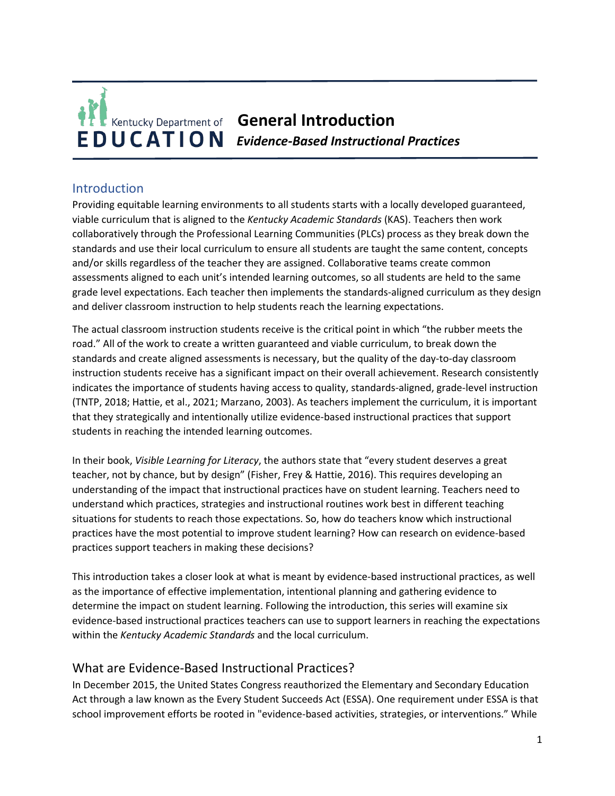

## Introduction

Providing equitable learning environments to all students starts with a locally developed guaranteed, viable curriculum that is aligned to the *Kentucky Academic Standards* (KAS). Teachers then work collaboratively through the Professional Learning Communities (PLCs) process as they break down the standards and use their local curriculum to ensure all students are taught the same content, concepts and/or skills regardless of the teacher they are assigned. Collaborative teams create common assessments aligned to each unit's intended learning outcomes, so all students are held to the same grade level expectations. Each teacher then implements the standards-aligned curriculum as they design and deliver classroom instruction to help students reach the learning expectations.

The actual classroom instruction students receive is the critical point in which "the rubber meets the road." All of the work to create a written guaranteed and viable curriculum, to break down the standards and create aligned assessments is necessary, but the quality of the day-to-day classroom instruction students receive has a significant impact on their overall achievement. Research consistently indicates the importance of students having access to quality, standards-aligned, grade-level instruction (TNTP, 2018; Hattie, et al., 2021; Marzano, 2003). As teachers implement the curriculum, it is important that they strategically and intentionally utilize evidence-based instructional practices that support students in reaching the intended learning outcomes.

In their book, *Visible Learning for Literacy*, the authors state that "every student deserves a great teacher, not by chance, but by design" (Fisher, Frey & Hattie, 2016). This requires developing an understanding of the impact that instructional practices have on student learning. Teachers need to understand which practices, strategies and instructional routines work best in different teaching situations for students to reach those expectations. So, how do teachers know which instructional practices have the most potential to improve student learning? How can research on evidence-based practices support teachers in making these decisions?

This introduction takes a closer look at what is meant by evidence-based instructional practices, as well as the importance of effective implementation, intentional planning and gathering evidence to determine the impact on student learning. Following the introduction, this series will examine six evidence-based instructional practices teachers can use to support learners in reaching the expectations within the *Kentucky Academic Standards* and the local curriculum.

### What are Evidence-Based Instructional Practices?

In December 2015, the United States Congress reauthorized the Elementary and Secondary Education Act through a law known as the Every Student Succeeds Act (ESSA). One requirement under ESSA is that school improvement efforts be rooted in "evidence-based activities, strategies, or interventions." While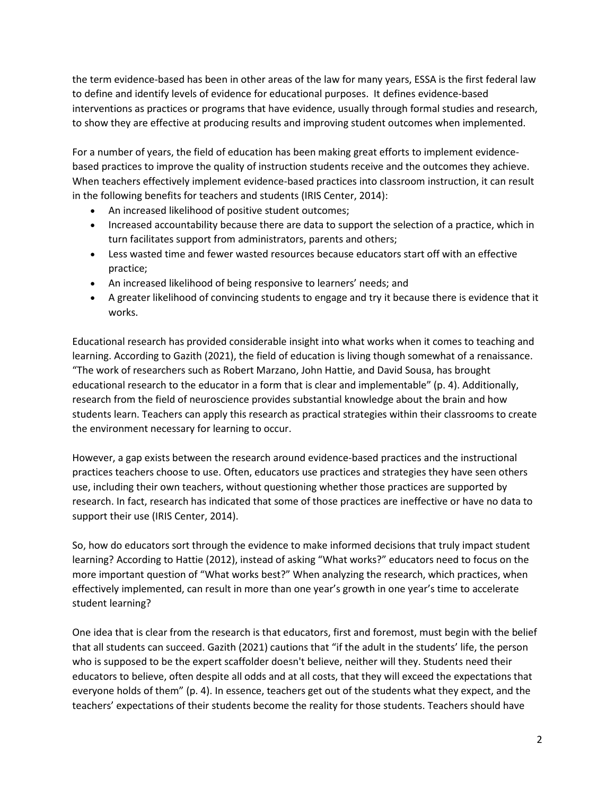the term evidence-based has been in other areas of the law for many years, ESSA is the first federal law to define and identify levels of evidence for educational purposes. It defines evidence-based interventions as practices or programs that have evidence, usually through formal studies and research, to show they are effective at producing results and improving student outcomes when implemented.

For a number of years, the field of education has been making great efforts to implement evidencebased practices to improve the quality of instruction students receive and the outcomes they achieve. When teachers effectively implement evidence-based practices into classroom instruction, it can result in the following benefits for teachers and students (IRIS Center, 2014):

- An increased likelihood of positive student outcomes;
- Increased accountability because there are data to support the selection of a practice, which in turn facilitates support from administrators, parents and others;
- Less wasted time and fewer wasted resources because educators start off with an effective practice;
- An increased likelihood of being responsive to learners' needs; and
- A greater likelihood of convincing students to engage and try it because there is evidence that it works.

Educational research has provided considerable insight into what works when it comes to teaching and learning. According to Gazith (2021), the field of education is living though somewhat of a renaissance. "The work of researchers such as Robert Marzano, John Hattie, and David Sousa, has brought educational research to the educator in a form that is clear and implementable" (p. 4). Additionally, research from the field of neuroscience provides substantial knowledge about the brain and how students learn. Teachers can apply this research as practical strategies within their classrooms to create the environment necessary for learning to occur.

However, a gap exists between the research around evidence-based practices and the instructional practices teachers choose to use. Often, educators use practices and strategies they have seen others use, including their own teachers, without questioning whether those practices are supported by research. In fact, research has indicated that some of those practices are ineffective or have no data to support their use (IRIS Center, 2014).

So, how do educators sort through the evidence to make informed decisions that truly impact student learning? According to Hattie (2012), instead of asking "What works?" educators need to focus on the more important question of "What works best?" When analyzing the research, which practices, when effectively implemented, can result in more than one year's growth in one year's time to accelerate student learning?

One idea that is clear from the research is that educators, first and foremost, must begin with the belief that all students can succeed. Gazith (2021) cautions that "if the adult in the students' life, the person who is supposed to be the expert scaffolder doesn't believe, neither will they. Students need their educators to believe, often despite all odds and at all costs, that they will exceed the expectations that everyone holds of them" (p. 4). In essence, teachers get out of the students what they expect, and the teachers' expectations of their students become the reality for those students. Teachers should have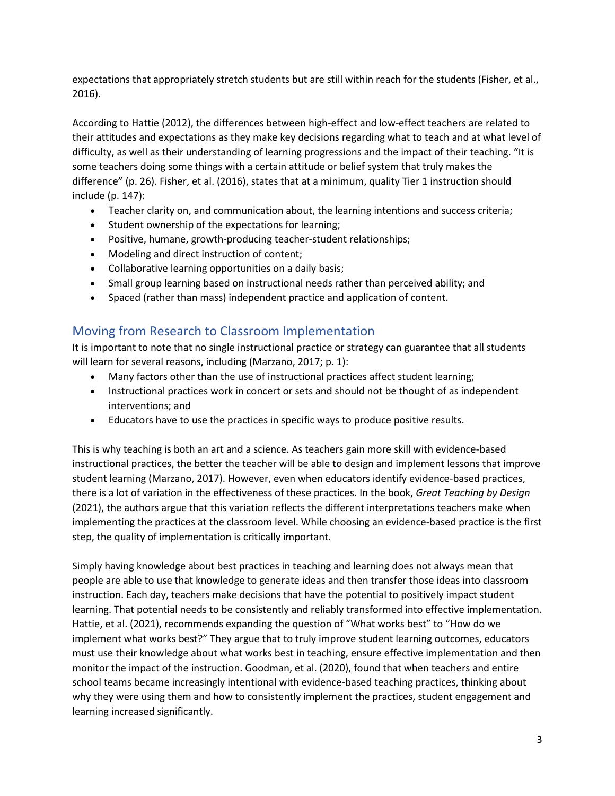expectations that appropriately stretch students but are still within reach for the students (Fisher, et al., 2016).

According to Hattie (2012), the differences between high-effect and low-effect teachers are related to their attitudes and expectations as they make key decisions regarding what to teach and at what level of difficulty, as well as their understanding of learning progressions and the impact of their teaching. "It is some teachers doing some things with a certain attitude or belief system that truly makes the difference" (p. 26). Fisher, et al. (2016), states that at a minimum, quality Tier 1 instruction should include (p. 147):

- Teacher clarity on, and communication about, the learning intentions and success criteria;
- Student ownership of the expectations for learning;
- Positive, humane, growth-producing teacher-student relationships;
- Modeling and direct instruction of content;
- Collaborative learning opportunities on a daily basis;
- Small group learning based on instructional needs rather than perceived ability; and
- Spaced (rather than mass) independent practice and application of content.

# Moving from Research to Classroom Implementation

It is important to note that no single instructional practice or strategy can guarantee that all students will learn for several reasons, including (Marzano, 2017; p. 1):

- Many factors other than the use of instructional practices affect student learning;
- Instructional practices work in concert or sets and should not be thought of as independent interventions; and
- Educators have to use the practices in specific ways to produce positive results.

This is why teaching is both an art and a science. As teachers gain more skill with evidence-based instructional practices, the better the teacher will be able to design and implement lessons that improve student learning (Marzano, 2017). However, even when educators identify evidence-based practices, there is a lot of variation in the effectiveness of these practices. In the book, *Great Teaching by Design* (2021), the authors argue that this variation reflects the different interpretations teachers make when implementing the practices at the classroom level. While choosing an evidence-based practice is the first step, the quality of implementation is critically important.

Simply having knowledge about best practices in teaching and learning does not always mean that people are able to use that knowledge to generate ideas and then transfer those ideas into classroom instruction. Each day, teachers make decisions that have the potential to positively impact student learning. That potential needs to be consistently and reliably transformed into effective implementation. Hattie, et al. (2021), recommends expanding the question of "What works best" to "How do we implement what works best?" They argue that to truly improve student learning outcomes, educators must use their knowledge about what works best in teaching, ensure effective implementation and then monitor the impact of the instruction. Goodman, et al. (2020), found that when teachers and entire school teams became increasingly intentional with evidence-based teaching practices, thinking about why they were using them and how to consistently implement the practices, student engagement and learning increased significantly.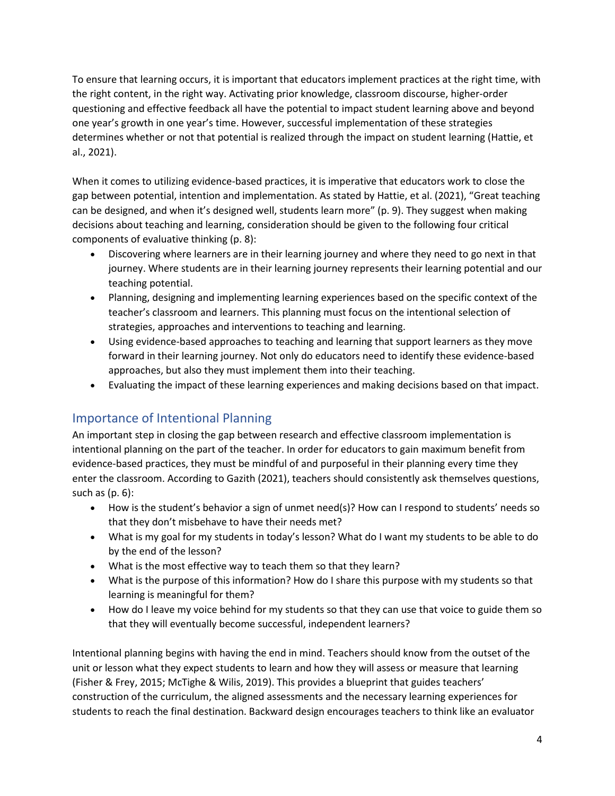To ensure that learning occurs, it is important that educators implement practices at the right time, with the right content, in the right way. Activating prior knowledge, classroom discourse, higher-order questioning and effective feedback all have the potential to impact student learning above and beyond one year's growth in one year's time. However, successful implementation of these strategies determines whether or not that potential is realized through the impact on student learning (Hattie, et al., 2021).

When it comes to utilizing evidence-based practices, it is imperative that educators work to close the gap between potential, intention and implementation. As stated by Hattie, et al. (2021), "Great teaching can be designed, and when it's designed well, students learn more" (p. 9). They suggest when making decisions about teaching and learning, consideration should be given to the following four critical components of evaluative thinking (p. 8):

- Discovering where learners are in their learning journey and where they need to go next in that journey. Where students are in their learning journey represents their learning potential and our teaching potential.
- Planning, designing and implementing learning experiences based on the specific context of the teacher's classroom and learners. This planning must focus on the intentional selection of strategies, approaches and interventions to teaching and learning.
- Using evidence-based approaches to teaching and learning that support learners as they move forward in their learning journey. Not only do educators need to identify these evidence-based approaches, but also they must implement them into their teaching.
- Evaluating the impact of these learning experiences and making decisions based on that impact.

# Importance of Intentional Planning

An important step in closing the gap between research and effective classroom implementation is intentional planning on the part of the teacher. In order for educators to gain maximum benefit from evidence-based practices, they must be mindful of and purposeful in their planning every time they enter the classroom. According to Gazith (2021), teachers should consistently ask themselves questions, such as  $(p. 6)$ :

- How is the student's behavior a sign of unmet need(s)? How can I respond to students' needs so that they don't misbehave to have their needs met?
- What is my goal for my students in today's lesson? What do I want my students to be able to do by the end of the lesson?
- What is the most effective way to teach them so that they learn?
- What is the purpose of this information? How do I share this purpose with my students so that learning is meaningful for them?
- How do I leave my voice behind for my students so that they can use that voice to guide them so that they will eventually become successful, independent learners?

Intentional planning begins with having the end in mind. Teachers should know from the outset of the unit or lesson what they expect students to learn and how they will assess or measure that learning (Fisher & Frey, 2015; McTighe & Wilis, 2019). This provides a blueprint that guides teachers' construction of the curriculum, the aligned assessments and the necessary learning experiences for students to reach the final destination. Backward design encourages teachers to think like an evaluator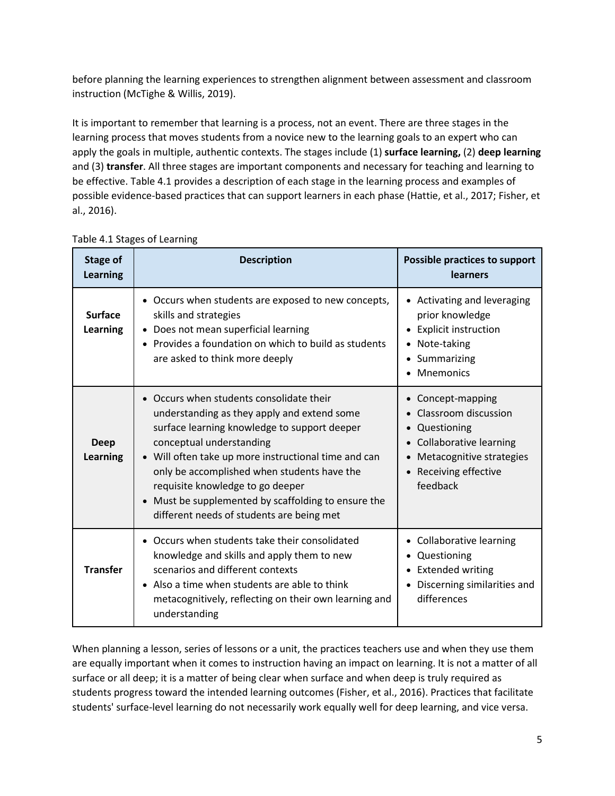before planning the learning experiences to strengthen alignment between assessment and classroom instruction (McTighe & Willis, 2019).

It is important to remember that learning is a process, not an event. There are three stages in the learning process that moves students from a novice new to the learning goals to an expert who can apply the goals in multiple, authentic contexts. The stages include (1) **surface learning,** (2) **deep learning** and (3) **transfer**. All three stages are important components and necessary for teaching and learning to be effective. Table 4.1 provides a description of each stage in the learning process and examples of possible evidence-based practices that can support learners in each phase (Hattie, et al., 2017; Fisher, et al., 2016).

| <b>Stage of</b><br><b>Learning</b> | <b>Description</b>                                                                                                                                                                                                                                                                                                                                                                                                          | Possible practices to support<br><b>learners</b>                                                                                                                                                        |
|------------------------------------|-----------------------------------------------------------------------------------------------------------------------------------------------------------------------------------------------------------------------------------------------------------------------------------------------------------------------------------------------------------------------------------------------------------------------------|---------------------------------------------------------------------------------------------------------------------------------------------------------------------------------------------------------|
| <b>Surface</b><br><b>Learning</b>  | • Occurs when students are exposed to new concepts,<br>skills and strategies<br>Does not mean superficial learning<br>• Provides a foundation on which to build as students<br>are asked to think more deeply                                                                                                                                                                                                               | • Activating and leveraging<br>prior knowledge<br><b>Explicit instruction</b><br>$\bullet$<br>Note-taking<br>$\bullet$<br>Summarizing<br>$\bullet$<br>Mnemonics                                         |
| <b>Deep</b><br>Learning            | Occurs when students consolidate their<br>$\bullet$<br>understanding as they apply and extend some<br>surface learning knowledge to support deeper<br>conceptual understanding<br>Will often take up more instructional time and can<br>only be accomplished when students have the<br>requisite knowledge to go deeper<br>• Must be supplemented by scaffolding to ensure the<br>different needs of students are being met | Concept-mapping<br>$\bullet$<br>Classroom discussion<br>$\bullet$<br>Questioning<br>$\bullet$<br>• Collaborative learning<br>Metacognitive strategies<br>$\bullet$<br>• Receiving effective<br>feedback |
| <b>Transfer</b>                    | • Occurs when students take their consolidated<br>knowledge and skills and apply them to new<br>scenarios and different contexts<br>• Also a time when students are able to think<br>metacognitively, reflecting on their own learning and<br>understanding                                                                                                                                                                 | • Collaborative learning<br>Questioning<br>$\bullet$<br><b>Extended writing</b><br>$\bullet$<br>Discerning similarities and<br>differences                                                              |

Table 4.1 Stages of Learning

When planning a lesson, series of lessons or a unit, the practices teachers use and when they use them are equally important when it comes to instruction having an impact on learning. It is not a matter of all surface or all deep; it is a matter of being clear when surface and when deep is truly required as students progress toward the intended learning outcomes (Fisher, et al., 2016). Practices that facilitate students' surface-level learning do not necessarily work equally well for deep learning, and vice versa.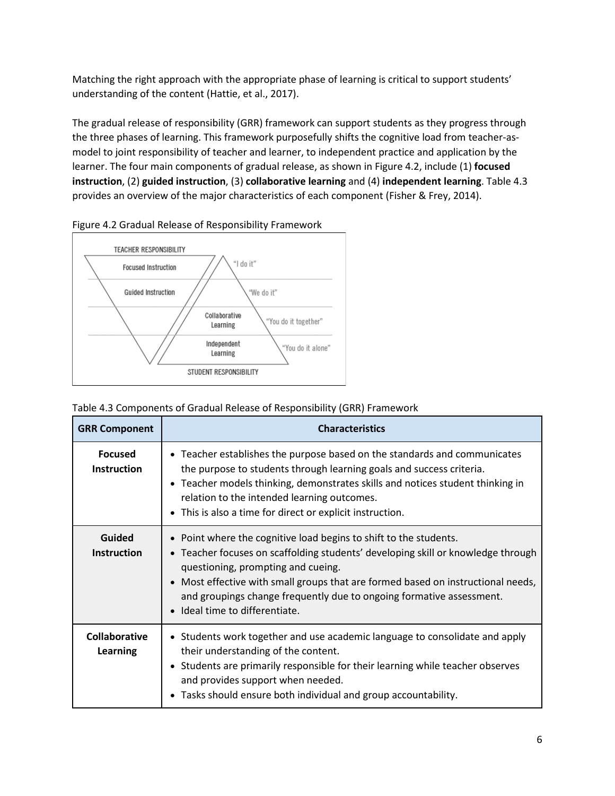Matching the right approach with the appropriate phase of learning is critical to support students' understanding of the content (Hattie, et al., 2017).

The gradual release of responsibility (GRR) framework can support students as they progress through the three phases of learning. This framework purposefully shifts the cognitive load from teacher-asmodel to joint responsibility of teacher and learner, to independent practice and application by the learner. The four main components of gradual release, as shown in Figure 4.2, include (1) **focused instruction**, (2) **guided instruction**, (3) **collaborative learning** and (4) **independent learning**. Table 4.3 provides an overview of the major characteristics of each component (Fisher & Frey, 2014).





|  |  | Table 4.3 Components of Gradual Release of Responsibility (GRR) Framework |  |
|--|--|---------------------------------------------------------------------------|--|
|  |  |                                                                           |  |

| <b>GRR Component</b>                 | <b>Characteristics</b>                                                                                                                                                                                                                                                                                                                                                                    |  |  |  |
|--------------------------------------|-------------------------------------------------------------------------------------------------------------------------------------------------------------------------------------------------------------------------------------------------------------------------------------------------------------------------------------------------------------------------------------------|--|--|--|
| <b>Focused</b><br><b>Instruction</b> | • Teacher establishes the purpose based on the standards and communicates<br>the purpose to students through learning goals and success criteria.<br>• Teacher models thinking, demonstrates skills and notices student thinking in<br>relation to the intended learning outcomes.<br>• This is also a time for direct or explicit instruction.                                           |  |  |  |
| Guided<br><b>Instruction</b>         | • Point where the cognitive load begins to shift to the students.<br>• Teacher focuses on scaffolding students' developing skill or knowledge through<br>questioning, prompting and cueing.<br>• Most effective with small groups that are formed based on instructional needs,<br>and groupings change frequently due to ongoing formative assessment.<br>• Ideal time to differentiate. |  |  |  |
| Collaborative<br><b>Learning</b>     | • Students work together and use academic language to consolidate and apply<br>their understanding of the content.<br>• Students are primarily responsible for their learning while teacher observes<br>and provides support when needed.<br>• Tasks should ensure both individual and group accountability.                                                                              |  |  |  |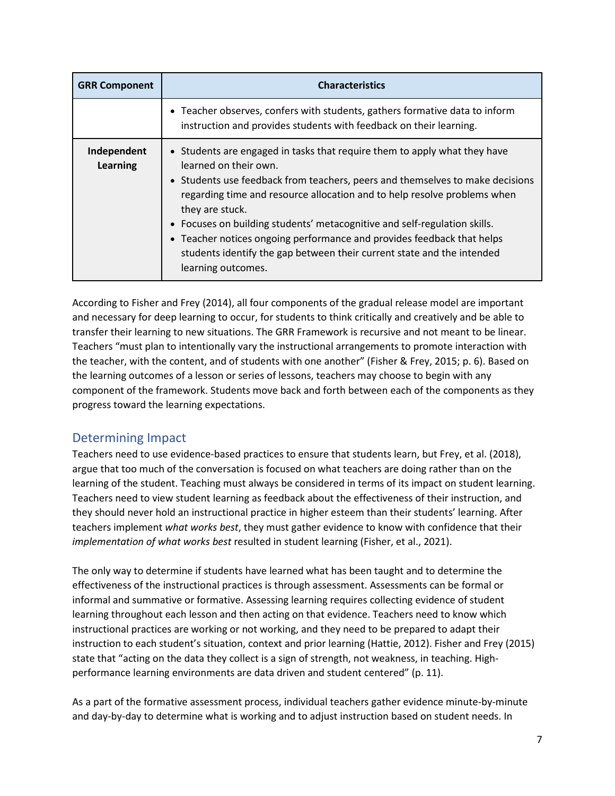| <b>GRR Component</b>    | <b>Characteristics</b>                                                                                                                                                                                                                                                                                                                                                                                                                                                                                                                    |
|-------------------------|-------------------------------------------------------------------------------------------------------------------------------------------------------------------------------------------------------------------------------------------------------------------------------------------------------------------------------------------------------------------------------------------------------------------------------------------------------------------------------------------------------------------------------------------|
|                         | • Teacher observes, confers with students, gathers formative data to inform<br>instruction and provides students with feedback on their learning.                                                                                                                                                                                                                                                                                                                                                                                         |
| Independent<br>Learning | • Students are engaged in tasks that require them to apply what they have<br>learned on their own.<br>• Students use feedback from teachers, peers and themselves to make decisions<br>regarding time and resource allocation and to help resolve problems when<br>they are stuck.<br>• Focuses on building students' metacognitive and self-regulation skills.<br>• Teacher notices ongoing performance and provides feedback that helps<br>students identify the gap between their current state and the intended<br>learning outcomes. |

According to Fisher and Frey (2014), all four components of the gradual release model are important and necessary for deep learning to occur, for students to think critically and creatively and be able to transfer their learning to new situations. The GRR Framework is recursive and not meant to be linear. Teachers "must plan to intentionally vary the instructional arrangements to promote interaction with the teacher, with the content, and of students with one another" (Fisher & Frey, 2015; p. 6). Based on the learning outcomes of a lesson or series of lessons, teachers may choose to begin with any component of the framework. Students move back and forth between each of the components as they progress toward the learning expectations.

# Determining Impact

Teachers need to use evidence-based practices to ensure that students learn, but Frey, et al. (2018), argue that too much of the conversation is focused on what teachers are doing rather than on the learning of the student. Teaching must always be considered in terms of its impact on student learning. Teachers need to view student learning as feedback about the effectiveness of their instruction, and they should never hold an instructional practice in higher esteem than their students' learning. After teachers implement *what works best*, they must gather evidence to know with confidence that their *implementation of what works best* resulted in student learning (Fisher, et al., 2021).

The only way to determine if students have learned what has been taught and to determine the effectiveness of the instructional practices is through assessment. Assessments can be formal or informal and summative or formative. Assessing learning requires collecting evidence of student learning throughout each lesson and then acting on that evidence. Teachers need to know which instructional practices are working or not working, and they need to be prepared to adapt their instruction to each student's situation, context and prior learning (Hattie, 2012). Fisher and Frey (2015) state that "acting on the data they collect is a sign of strength, not weakness, in teaching. Highperformance learning environments are data driven and student centered" (p. 11).

As a part of the formative assessment process, individual teachers gather evidence minute-by-minute and day-by-day to determine what is working and to adjust instruction based on student needs. In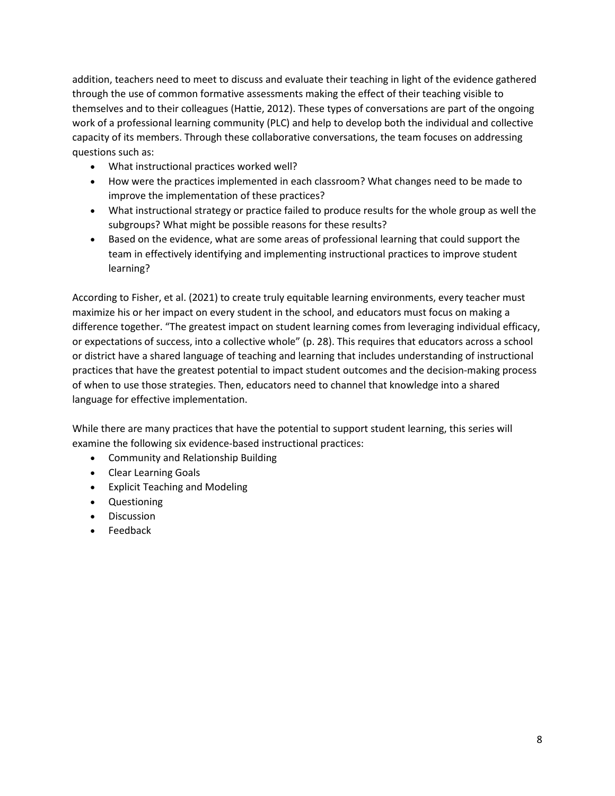addition, teachers need to meet to discuss and evaluate their teaching in light of the evidence gathered through the use of common formative assessments making the effect of their teaching visible to themselves and to their colleagues (Hattie, 2012). These types of conversations are part of the ongoing work of a professional learning community (PLC) and help to develop both the individual and collective capacity of its members. Through these collaborative conversations, the team focuses on addressing questions such as:

- What instructional practices worked well?
- How were the practices implemented in each classroom? What changes need to be made to improve the implementation of these practices?
- What instructional strategy or practice failed to produce results for the whole group as well the subgroups? What might be possible reasons for these results?
- Based on the evidence, what are some areas of professional learning that could support the team in effectively identifying and implementing instructional practices to improve student learning?

According to Fisher, et al. (2021) to create truly equitable learning environments, every teacher must maximize his or her impact on every student in the school, and educators must focus on making a difference together. "The greatest impact on student learning comes from leveraging individual efficacy, or expectations of success, into a collective whole" (p. 28). This requires that educators across a school or district have a shared language of teaching and learning that includes understanding of instructional practices that have the greatest potential to impact student outcomes and the decision-making process of when to use those strategies. Then, educators need to channel that knowledge into a shared language for effective implementation.

While there are many practices that have the potential to support student learning, this series will examine the following six evidence-based instructional practices:

- Community and Relationship Building
- Clear Learning Goals
- Explicit Teaching and Modeling
- Questioning
- Discussion
- Feedback